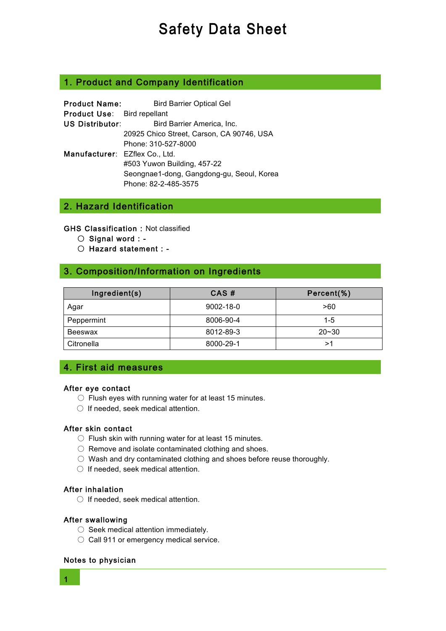# 1. Product and Company Identification

| <b>Product Name:</b>               | <b>Bird Barrier Optical Gel</b>           |
|------------------------------------|-------------------------------------------|
| <b>Product Use:</b> Bird repellant |                                           |
| US Distributor:                    | Bird Barrier America, Inc.                |
|                                    | 20925 Chico Street, Carson, CA 90746, USA |
|                                    | Phone: 310-527-8000                       |
| Manufacturer: EZflex Co., Ltd.     |                                           |
|                                    | #503 Yuwon Building, 457-22               |
|                                    | Seongnae1-dong, Gangdong-gu, Seoul, Korea |
|                                    | Phone: 82-2-485-3575                      |

# 2. Hazard Identification

GHS Classification : Not classified

- Signal word : -
- Hazard statement : -

# 3. Composition/Information on Ingredients

| Ingradient(s) | CAS#            | Percent(%) |
|---------------|-----------------|------------|
| Agar          | $9002 - 18 - 0$ | >60        |
| Peppermint    | 8006-90-4       | $1 - 5$    |
| Beeswax       | 8012-89-3       | $20 - 30$  |
| Citronella    | 8000-29-1       | >1         |

# 4. First aid measures

## After eye contact

- $\circ$  Flush eyes with running water for at least 15 minutes.
- If needed, seek medical attention.

## After skin contact

- $\circ$  Flush skin with running water for at least 15 minutes.
- Remove and isolate contaminated clothing and shoes.
- Wash and dry contaminated clothing and shoes before reuse thoroughly.
- If needed, seek medical attention.

## After inhalation

○ If needed, seek medical attention.

## After swallowing

- Seek medical attention immediately.
- Call 911 or emergency medical service.

## Notes to physician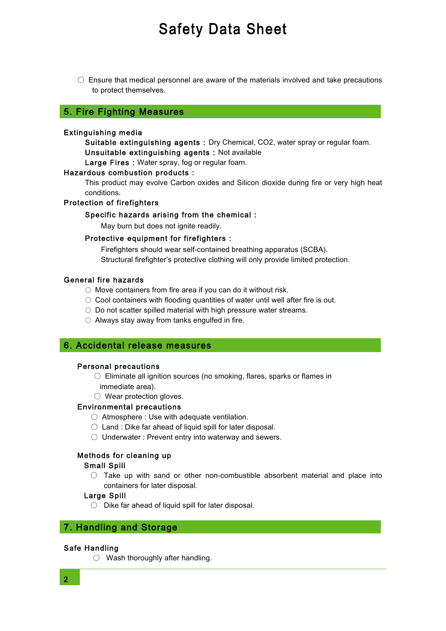$\circ$  Ensure that medical personnel are aware of the materials involved and take precautions to protect themselves.

## 5. Fire Fighting Measures

#### Extinguishing media

Suitable extinguishing agents : Dry Chemical, CO2, water spray or regular foam. Unsuitable extinguishing agents : Not available

Large Fires : Water spray, fog or regular foam.

#### Hazardous combustion products :

This product may evolve Carbon oxides and Silicon dioxide during fire or very high heat conditions.

#### Protection of firefighters

#### Specific hazards arising from the chemical :

May burn but does not ignite readily.

#### Protective equipment for firefighters :

Firefighters should wear self-contained breathing apparatus (SCBA). Structural firefighter's protective clothing will only provide limited protection.

#### General fire hazards

- $\circlearrowright$  Move containers from fire area if you can do it without risk.
- $\circ$  Cool containers with flooding quantities of water until well after fire is out.
- Do not scatter spilled material with high pressure water streams.
- Always stay away from tanks engulfed in fire.

## 6. Accidental release measures

#### Personal precautions

- Eliminate all ignition sources (no smoking, flares, sparks or flames in immediate area).
- Wear protection gloves.

#### Environmental precautions

- Atmosphere : Use with adequate ventilation.
- $\circlearrowright$  Land : Dike far ahead of liquid spill for later disposal.
- Underwater : Prevent entry into waterway and sewers.

## Methods for cleaning up

## Small Spill

 $\circ$  Take up with sand or other non-combustible absorbent material and place into containers for later disposal.

#### Large Spill

○ Dike far ahead of liquid spill for later disposal.

# 7. Handling and Storage

#### Safe Handling

○ Wash thoroughly after handling.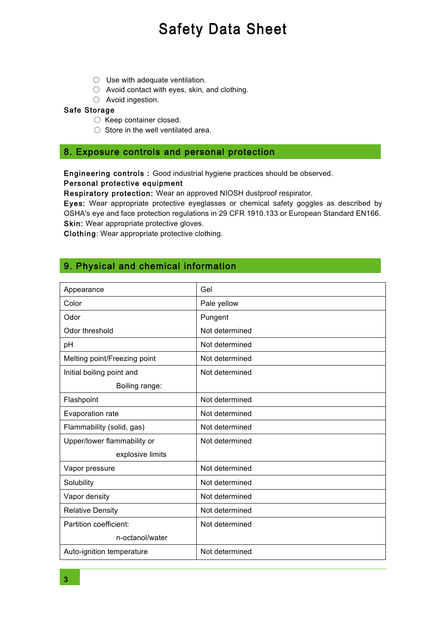- Use with adequate ventilation.
- Avoid contact with eyes, skin, and clothing.
- Avoid ingestion.

## Safe Storage

- Keep container closed.
- Store in the well ventilated area.

# 8. Exposure controls and personal protection

Engineering controls : Good industrial hygiene practices should be observed.

## Personal protective equipment

Respiratory protection: Wear an approved NIOSH dustproof respirator.

Eyes: Wear appropriate protective eyeglasses or chemical safety goggles as described by OSHA's eye and face protection regulations in 29 CFR 1910.133 or European Standard EN166. Skin: Wear appropriate protective gloves.

Clothing: Wear appropriate protective clothing.

# 9. Physical and chemical information

| Appearance                   | Gel            |
|------------------------------|----------------|
| Color                        | Pale yellow    |
| Odor                         | Pungent        |
| Odor threshold               | Not determined |
| pH                           | Not determined |
| Melting point/Freezing point | Not determined |
| Initial boiling point and    | Not determined |
| Boiling range:               |                |
| Flashpoint                   | Not determined |
| Evaporation rate             | Not determined |
| Flammability (solid, gas)    | Not determined |
| Upper/lower flammability or  | Not determined |
| explosive limits             |                |
| Vapor pressure               | Not determined |
| Solubility                   | Not determined |
| Vapor density                | Not determined |
| <b>Relative Density</b>      | Not determined |
| Partition coefficient:       | Not determined |
| n-octanol/water              |                |
| Auto-ignition temperature    | Not determined |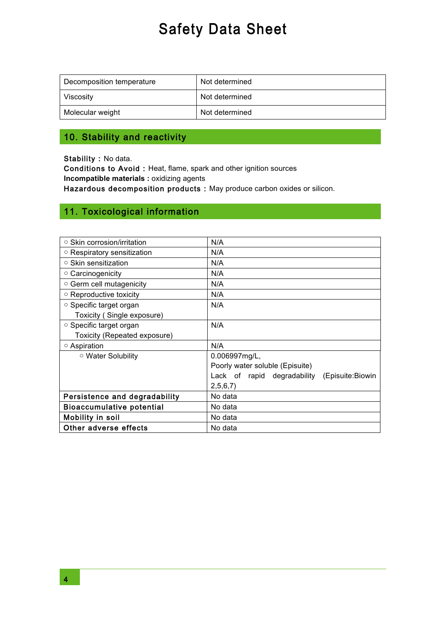| Decomposition temperature | Not determined |
|---------------------------|----------------|
| Viscosity                 | Not determined |
| Molecular weight          | Not determined |

# 10. Stability and reactivity

Stability : No data.

Conditions to Avoid : Heat, flame, spark and other ignition sources **Incompatible materials :** oxidizing agents

Hazardous decomposition products : May produce carbon oxides or silicon.

# 11. Toxicological information

| $\circ$ Skin corrosion/irritation | N/A                                          |
|-----------------------------------|----------------------------------------------|
| $\circ$ Respiratory sensitization | N/A                                          |
| $\circ$ Skin sensitization        | N/A                                          |
| ○ Carcinogenicity                 | N/A                                          |
| ○ Germ cell mutagenicity          | N/A                                          |
| $\circ$ Reproductive toxicity     | N/A                                          |
| ○ Specific target organ           | N/A                                          |
| Toxicity (Single exposure)        |                                              |
| ○ Specific target organ           | N/A                                          |
| Toxicity (Repeated exposure)      |                                              |
| ○ Aspiration                      | N/A                                          |
| ○ Water Solubility                | $0.006997$ mg/L,                             |
|                                   | Poorly water soluble (Episuite)              |
|                                   | Lack of rapid degradability (Episuite:Biowin |
|                                   | 2,5,6,7                                      |
| Persistence and degradability     | No data                                      |
| <b>Bioaccumulative potential</b>  | No data                                      |
| Mobility in soil                  | No data                                      |
| Other adverse effects             | No data                                      |